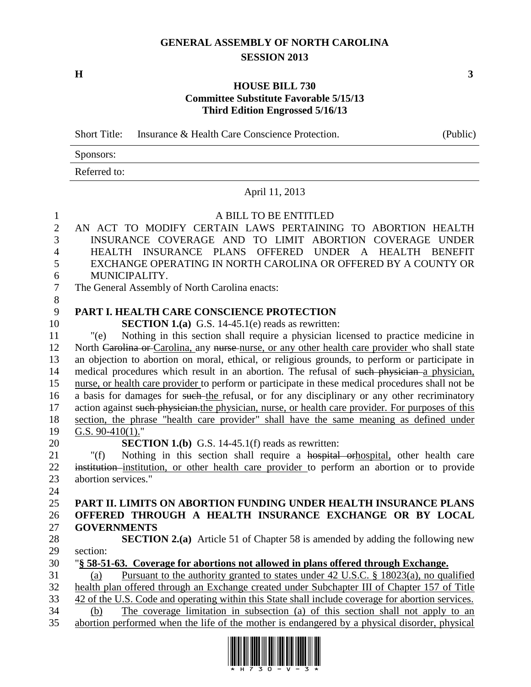## **GENERAL ASSEMBLY OF NORTH CAROLINA SESSION 2013**

**H 3**

## **HOUSE BILL 730 Committee Substitute Favorable 5/15/13 Third Edition Engrossed 5/16/13**

Short Title: Insurance & Health Care Conscience Protection. (Public)

Sponsors: Referred to:

## April 11, 2013

## 1 A BILL TO BE ENTITLED

| $\mathbf{2}$   | AN ACT TO MODIFY CERTAIN LAWS PERTAINING TO ABORTION HEALTH                                        |
|----------------|----------------------------------------------------------------------------------------------------|
| 3              | INSURANCE COVERAGE AND TO LIMIT ABORTION COVERAGE UNDER                                            |
| $\overline{4}$ | HEALTH INSURANCE PLANS OFFERED UNDER A HEALTH BENEFIT                                              |
| 5              | EXCHANGE OPERATING IN NORTH CAROLINA OR OFFERED BY A COUNTY OR                                     |
| 6              | MUNICIPALITY.                                                                                      |
| $\overline{7}$ | The General Assembly of North Carolina enacts:                                                     |
| 8              |                                                                                                    |
| 9              | PART I. HEALTH CARE CONSCIENCE PROTECTION                                                          |
| 10             | <b>SECTION 1.(a)</b> G.S. 14-45.1(e) reads as rewritten:                                           |
| 11             | Nothing in this section shall require a physician licensed to practice medicine in<br>"(e)         |
| 12             | North Carolina or Carolina, any nurse nurse, or any other health care provider who shall state     |
| 13             | an objection to abortion on moral, ethical, or religious grounds, to perform or participate in     |
| 14             | medical procedures which result in an abortion. The refusal of such physician a physician,         |
| 15             | nurse, or health care provider to perform or participate in these medical procedures shall not be  |
| 16             | a basis for damages for such-the refusal, or for any disciplinary or any other recriminatory       |
| 17             | action against such physician. the physician, nurse, or health care provider. For purposes of this |
| 18             | section, the phrase "health care provider" shall have the same meaning as defined under            |
| 19             | G.S. $90-410(1)$ ."                                                                                |
| 20             | <b>SECTION 1.(b)</b> G.S. 14-45.1(f) reads as rewritten:                                           |
| 21             | Nothing in this section shall require a hospital orthospital, other health care<br>" $(f)$         |
| 22             | institution-institution, or other health care provider to perform an abortion or to provide        |
| 23             | abortion services."                                                                                |
| 24             |                                                                                                    |
| 25             | PART II. LIMITS ON ABORTION FUNDING UNDER HEALTH INSURANCE PLANS                                   |
| 26             | OFFERED THROUGH A HEALTH INSURANCE EXCHANGE OR BY LOCAL                                            |
| 27             | <b>GOVERNMENTS</b>                                                                                 |
| 28             | <b>SECTION 2.(a)</b> Article 51 of Chapter 58 is amended by adding the following new               |
| 29             | section:                                                                                           |
| 30             | "§ 58-51-63. Coverage for abortions not allowed in plans offered through Exchange.                 |
| 31             | Pursuant to the authority granted to states under 42 U.S.C. § 18023(a), no qualified<br>(a)        |
| 32             | health plan offered through an Exchange created under Subchapter III of Chapter 157 of Title       |
| 33             | 42 of the U.S. Code and operating within this State shall include coverage for abortion services.  |
| 34             | The coverage limitation in subsection (a) of this section shall not apply to an<br>(b)             |
| 35             | abortion performed when the life of the mother is endangered by a physical disorder, physical      |